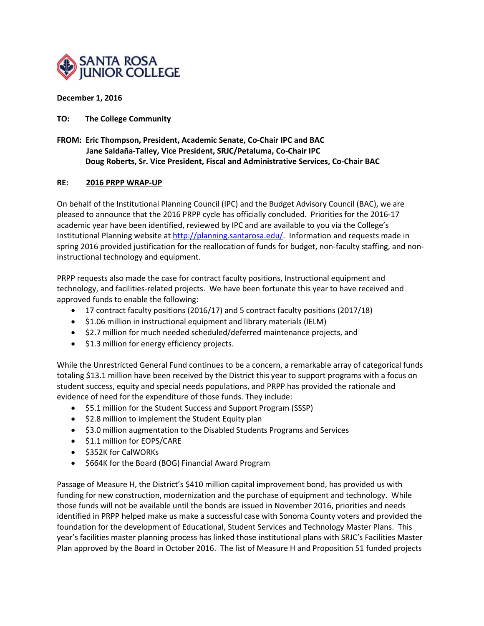

# **December 1, 2016**

# **TO: The College Community**

**FROM: Eric Thompson, President, Academic Senate, Co-Chair IPC and BAC Jane Saldaña-Talley, Vice President, SRJC/Petaluma, Co-Chair IPC Doug Roberts, Sr. Vice President, Fiscal and Administrative Services, Co-Chair BAC**

# **RE: 2016 PRPP WRAP-UP**

On behalf of the Institutional Planning Council (IPC) and the Budget Advisory Council (BAC), we are pleased to announce that the 2016 PRPP cycle has officially concluded. Priorities for the 2016-17 academic year have been identified, reviewed by IPC and are available to you via the College's Institutional Planning website a[t http://planning.santarosa.edu/.](http://planning.santarosa.edu/) Information and requests made in spring 2016 provided justification for the reallocation of funds for budget, non-faculty staffing, and noninstructional technology and equipment.

PRPP requests also made the case for contract faculty positions, Instructional equipment and technology, and facilities-related projects. We have been fortunate this year to have received and approved funds to enable the following:

- 17 contract faculty positions (2016/17) and 5 contract faculty positions (2017/18)
- \$1.06 million in instructional equipment and library materials (IELM)
- \$2.7 million for much needed scheduled/deferred maintenance projects, and
- \$1.3 million for energy efficiency projects.

While the Unrestricted General Fund continues to be a concern, a remarkable array of categorical funds totaling \$13.1 million have been received by the District this year to support programs with a focus on student success, equity and special needs populations, and PRPP has provided the rationale and evidence of need for the expenditure of those funds. They include:

- \$5.1 million for the Student Success and Support Program (SSSP)
- \$2.8 million to implement the Student Equity plan
- \$3.0 million augmentation to the Disabled Students Programs and Services
- \$1.1 million for EOPS/CARE
- \$352K for CalWORKs
- \$664K for the Board (BOG) Financial Award Program

Passage of Measure H, the District's \$410 million capital improvement bond, has provided us with funding for new construction, modernization and the purchase of equipment and technology. While those funds will not be available until the bonds are issued in November 2016, priorities and needs identified in PRPP helped make us make a successful case with Sonoma County voters and provided the foundation for the development of Educational, Student Services and Technology Master Plans. This year's facilities master planning process has linked those institutional plans with SRJC's Facilities Master Plan approved by the Board in October 2016. The list of Measure H and Proposition 51 funded projects